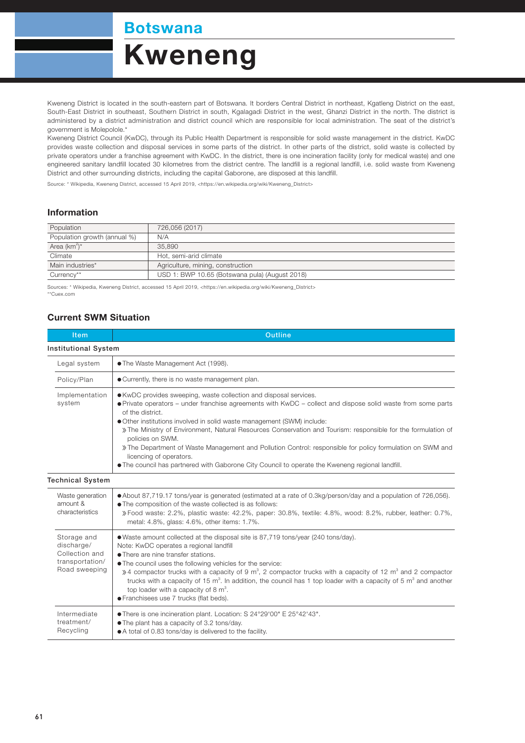Botswana

# Kweneng

Kweneng District is located in the south-eastern part of Botswana. It borders Central District in northeast, Kgatleng District on the east, South-East District in southeast, Southern District in south, Kgalagadi District in the west, Ghanzi District in the north. The district is administered by a district administration and district council which are responsible for local administration. The seat of the district's government is Molepolole.\*

Kweneng District Council (KwDC), through its Public Health Department is responsible for solid waste management in the district. KwDC provides waste collection and disposal services in some parts of the district. In other parts of the district, solid waste is collected by private operators under a franchise agreement with KwDC. In the district, there is one incineration facility (only for medical waste) and one engineered sanitary landfill located 30 kilometres from the district centre. The landfill is a regional landfill, i.e. solid waste from Kweneng District and other surrounding districts, including the capital Gaborone, are disposed at this landfill.

Source: \* Wikipedia, Kweneng District, accessed 15 April 2019, <https://en.wikipedia.org/wiki/Kweneng\_District>

#### Information

| Population                   | 726,056 (2017)                                 |  |
|------------------------------|------------------------------------------------|--|
| Population growth (annual %) | N/A                                            |  |
| Area $(km^2)^*$              | 35,890                                         |  |
| Climate                      | Hot, semi-arid climate                         |  |
| Main industries*             | Agriculture, mining, construction              |  |
| Currency**                   | USD 1: BWP 10.65 (Botswana pula) (August 2018) |  |

Sources: \* Wikipedia, Kweneng District, accessed 15 April 2019, <https://en.wikipedia.org/wiki/Kweneng\_District> \*\*Cuex.com

### Current SWM Situation

| Item                                                                            | <b>Outline</b>                                                                                                                                                                                                                                                                                                                                                                                                                                                                                                                                                                                                                                                   |  |  |  |
|---------------------------------------------------------------------------------|------------------------------------------------------------------------------------------------------------------------------------------------------------------------------------------------------------------------------------------------------------------------------------------------------------------------------------------------------------------------------------------------------------------------------------------------------------------------------------------------------------------------------------------------------------------------------------------------------------------------------------------------------------------|--|--|--|
| <b>Institutional System</b>                                                     |                                                                                                                                                                                                                                                                                                                                                                                                                                                                                                                                                                                                                                                                  |  |  |  |
| Legal system                                                                    | • The Waste Management Act (1998).                                                                                                                                                                                                                                                                                                                                                                                                                                                                                                                                                                                                                               |  |  |  |
| Policy/Plan                                                                     | • Currently, there is no waste management plan.                                                                                                                                                                                                                                                                                                                                                                                                                                                                                                                                                                                                                  |  |  |  |
| Implementation<br>system                                                        | • KwDC provides sweeping, waste collection and disposal services.<br>• Private operators – under franchise agreements with KwDC – collect and dispose solid waste from some parts<br>of the district.<br>• Other institutions involved in solid waste management (SWM) include:<br>» The Ministry of Environment, Natural Resources Conservation and Tourism: responsible for the formulation of<br>policies on SWM.<br>» The Department of Waste Management and Pollution Control: responsible for policy formulation on SWM and<br>licencing of operators.<br>. The council has partnered with Gaborone City Council to operate the Kweneng regional landfill. |  |  |  |
| <b>Technical System</b>                                                         |                                                                                                                                                                                                                                                                                                                                                                                                                                                                                                                                                                                                                                                                  |  |  |  |
| Waste generation<br>amount &<br>characteristics                                 | • About 87,719.17 tons/year is generated (estimated at a rate of 0.3kg/person/day and a population of 726,056).<br>. The composition of the waste collected is as follows:<br>» Food waste: 2.2%, plastic waste: 42.2%, paper: 30.8%, textile: 4.8%, wood: 8.2%, rubber, leather: 0.7%,<br>metal: 4.8%, glass: 4.6%, other items: 1.7%.                                                                                                                                                                                                                                                                                                                          |  |  |  |
| Storage and<br>discharge/<br>Collection and<br>transportation/<br>Road sweeping | • Waste amount collected at the disposal site is 87,719 tons/year (240 tons/day).<br>Note: KwDC operates a regional landfill<br>• There are nine transfer stations.<br>• The council uses the following vehicles for the service:<br>$\frac{3}{2}$ a compactor trucks with a capacity of 9 m <sup>3</sup> , 2 compactor trucks with a capacity of 12 m <sup>3</sup> and 2 compactor<br>trucks with a capacity of 15 $m^3$ . In addition, the council has 1 top loader with a capacity of 5 $m^3$ and another<br>top loader with a capacity of $8 \text{ m}^3$ .<br>· Franchisees use 7 trucks (flat beds).                                                       |  |  |  |
| Intermediate<br>treatment/<br>Recycling                                         | ● There is one incineration plant. Location: S 24°29'00" E 25°42'43".<br>• The plant has a capacity of 3.2 tons/day.<br>• A total of 0.83 tons/day is delivered to the facility.                                                                                                                                                                                                                                                                                                                                                                                                                                                                                 |  |  |  |